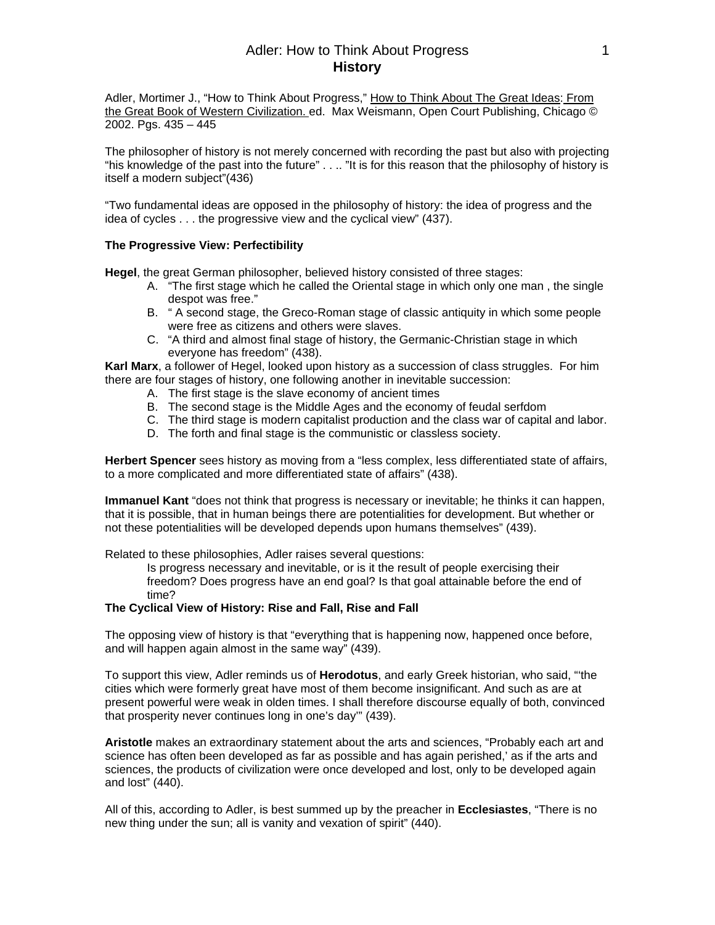## Adler: How to Think About Progress 1 **History**

Adler, Mortimer J., "How to Think About Progress," How to Think About The Great Ideas: From the Great Book of Western Civilization. ed. Max Weismann, Open Court Publishing, Chicago © 2002. Pgs. 435 – 445

The philosopher of history is not merely concerned with recording the past but also with projecting "his knowledge of the past into the future" . . .. "It is for this reason that the philosophy of history is itself a modern subject"(436)

"Two fundamental ideas are opposed in the philosophy of history: the idea of progress and the idea of cycles . . . the progressive view and the cyclical view" (437).

#### **The Progressive View: Perfectibility**

**Hegel**, the great German philosopher, believed history consisted of three stages:

- A. "The first stage which he called the Oriental stage in which only one man , the single despot was free."
- B. " A second stage, the Greco-Roman stage of classic antiquity in which some people were free as citizens and others were slaves.
- C. "A third and almost final stage of history, the Germanic-Christian stage in which everyone has freedom" (438).

**Karl Marx**, a follower of Hegel, looked upon history as a succession of class struggles. For him there are four stages of history, one following another in inevitable succession:

- A. The first stage is the slave economy of ancient times
- B. The second stage is the Middle Ages and the economy of feudal serfdom
- C. The third stage is modern capitalist production and the class war of capital and labor.
- D. The forth and final stage is the communistic or classless society.

**Herbert Spencer** sees history as moving from a "less complex, less differentiated state of affairs, to a more complicated and more differentiated state of affairs" (438).

**Immanuel Kant** "does not think that progress is necessary or inevitable; he thinks it can happen, that it is possible, that in human beings there are potentialities for development. But whether or not these potentialities will be developed depends upon humans themselves" (439).

Related to these philosophies, Adler raises several questions:

Is progress necessary and inevitable, or is it the result of people exercising their freedom? Does progress have an end goal? Is that goal attainable before the end of time?

#### **The Cyclical View of History: Rise and Fall, Rise and Fall**

The opposing view of history is that "everything that is happening now, happened once before, and will happen again almost in the same way" (439).

To support this view, Adler reminds us of **Herodotus**, and early Greek historian, who said, "'the cities which were formerly great have most of them become insignificant. And such as are at present powerful were weak in olden times. I shall therefore discourse equally of both, convinced that prosperity never continues long in one's day'" (439).

**Aristotle** makes an extraordinary statement about the arts and sciences, "Probably each art and science has often been developed as far as possible and has again perished,' as if the arts and sciences, the products of civilization were once developed and lost, only to be developed again and lost" (440).

All of this, according to Adler, is best summed up by the preacher in **Ecclesiastes**, "There is no new thing under the sun; all is vanity and vexation of spirit" (440).